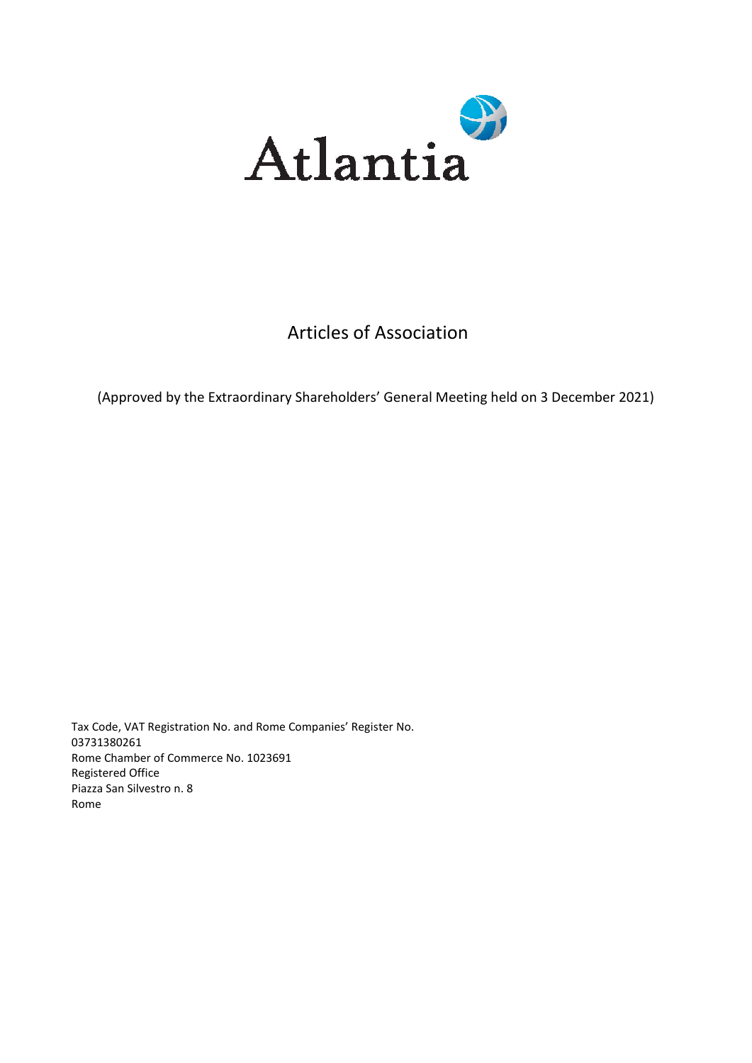

# Articles of Association

(Approved by the Extraordinary Shareholders' General Meeting held on 3 December 2021)

Tax Code, VAT Registration No. and Rome Companies' Register No. 03731380261 Rome Chamber of Commerce No. 1023691 Registered Office Piazza San Silvestro n. 8 Rome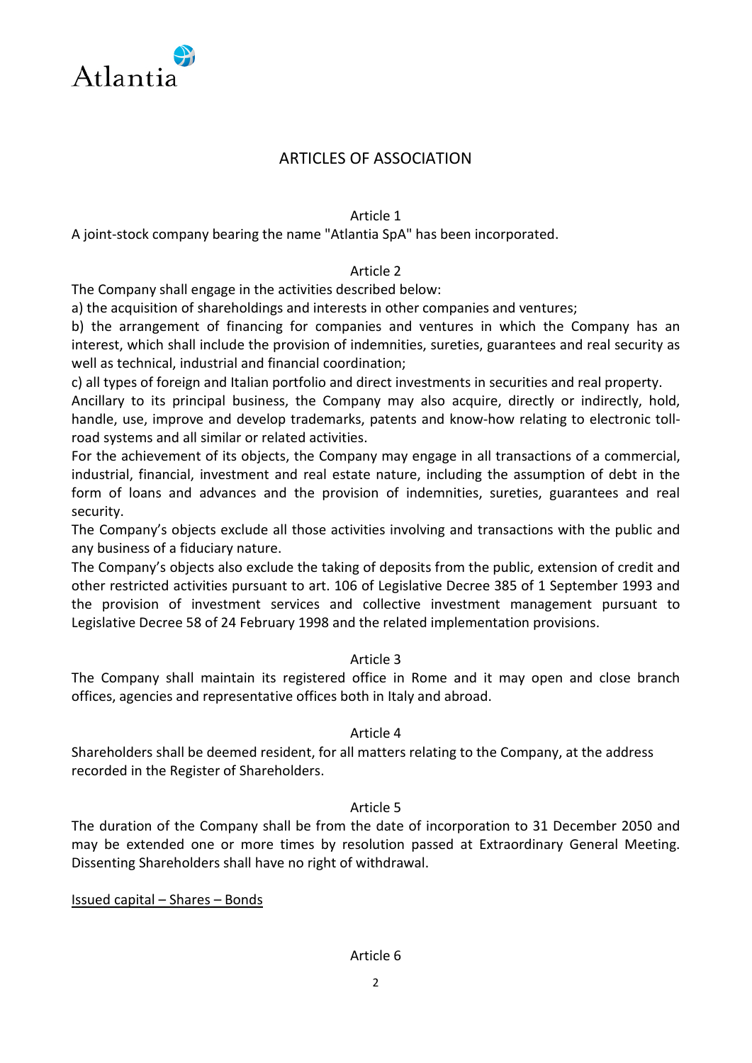

# ARTICLES OF ASSOCIATION

#### Article 1

A joint-stock company bearing the name "Atlantia SpA" has been incorporated.

## Article 2

The Company shall engage in the activities described below:

a) the acquisition of shareholdings and interests in other companies and ventures;

b) the arrangement of financing for companies and ventures in which the Company has an interest, which shall include the provision of indemnities, sureties, guarantees and real security as well as technical, industrial and financial coordination;

c) all types of foreign and Italian portfolio and direct investments in securities and real property.

Ancillary to its principal business, the Company may also acquire, directly or indirectly, hold, handle, use, improve and develop trademarks, patents and know-how relating to electronic tollroad systems and all similar or related activities.

For the achievement of its objects, the Company may engage in all transactions of a commercial, industrial, financial, investment and real estate nature, including the assumption of debt in the form of loans and advances and the provision of indemnities, sureties, guarantees and real security.

The Company's objects exclude all those activities involving and transactions with the public and any business of a fiduciary nature.

The Company's objects also exclude the taking of deposits from the public, extension of credit and other restricted activities pursuant to art. 106 of Legislative Decree 385 of 1 September 1993 and the provision of investment services and collective investment management pursuant to Legislative Decree 58 of 24 February 1998 and the related implementation provisions.

## Article 3

The Company shall maintain its registered office in Rome and it may open and close branch offices, agencies and representative offices both in Italy and abroad.

#### Article 4

Shareholders shall be deemed resident, for all matters relating to the Company, at the address recorded in the Register of Shareholders.

## Article 5

The duration of the Company shall be from the date of incorporation to 31 December 2050 and may be extended one or more times by resolution passed at Extraordinary General Meeting. Dissenting Shareholders shall have no right of withdrawal.

Issued capital – Shares – Bonds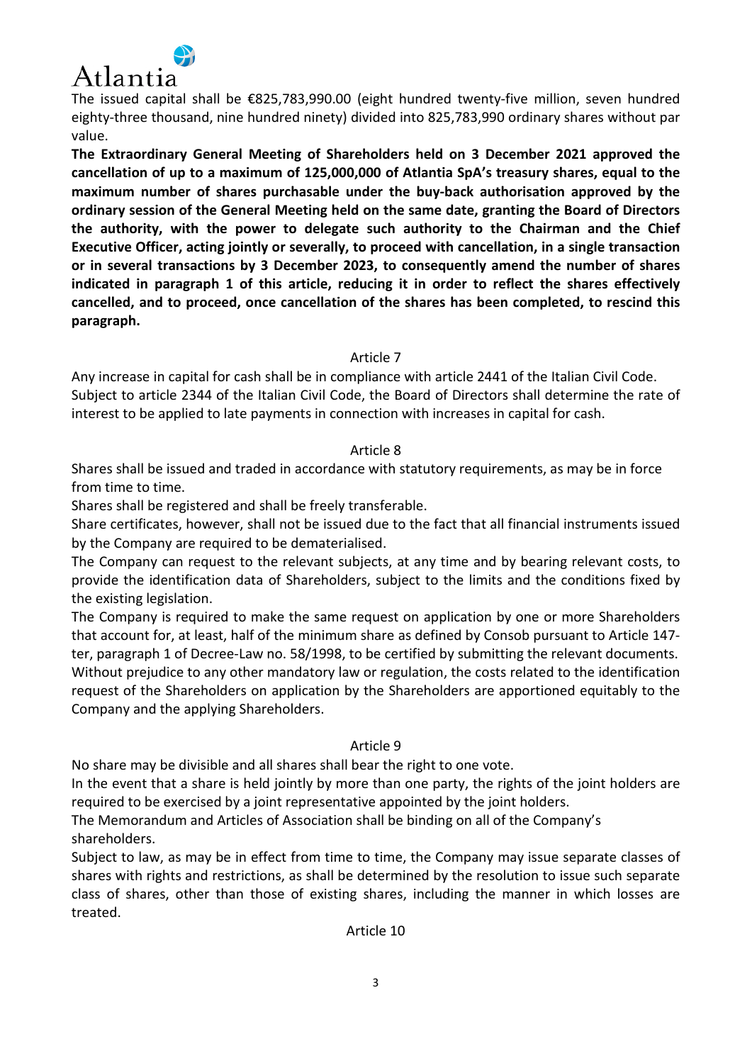

The issued capital shall be €825,783,990.00 (eight hundred twenty-five million, seven hundred eighty-three thousand, nine hundred ninety) divided into 825,783,990 ordinary shares without par value.

**The Extraordinary General Meeting of Shareholders held on 3 December 2021 approved the cancellation of up to a maximum of 125,000,000 of Atlantia SpA's treasury shares, equal to the maximum number of shares purchasable under the buy-back authorisation approved by the ordinary session of the General Meeting held on the same date, granting the Board of Directors the authority, with the power to delegate such authority to the Chairman and the Chief Executive Officer, acting jointly or severally, to proceed with cancellation, in a single transaction or in several transactions by 3 December 2023, to consequently amend the number of shares indicated in paragraph 1 of this article, reducing it in order to reflect the shares effectively cancelled, and to proceed, once cancellation of the shares has been completed, to rescind this paragraph.** 

Article 7

Any increase in capital for cash shall be in compliance with article 2441 of the Italian Civil Code. Subject to article 2344 of the Italian Civil Code, the Board of Directors shall determine the rate of interest to be applied to late payments in connection with increases in capital for cash.

## Article 8

Shares shall be issued and traded in accordance with statutory requirements, as may be in force from time to time.

Shares shall be registered and shall be freely transferable.

Share certificates, however, shall not be issued due to the fact that all financial instruments issued by the Company are required to be dematerialised.

The Company can request to the relevant subjects, at any time and by bearing relevant costs, to provide the identification data of Shareholders, subject to the limits and the conditions fixed by the existing legislation.

The Company is required to make the same request on application by one or more Shareholders that account for, at least, half of the minimum share as defined by Consob pursuant to Article 147 ter, paragraph 1 of Decree-Law no. 58/1998, to be certified by submitting the relevant documents. Without prejudice to any other mandatory law or regulation, the costs related to the identification request of the Shareholders on application by the Shareholders are apportioned equitably to the Company and the applying Shareholders.

## Article 9

No share may be divisible and all shares shall bear the right to one vote.

In the event that a share is held jointly by more than one party, the rights of the joint holders are required to be exercised by a joint representative appointed by the joint holders.

The Memorandum and Articles of Association shall be binding on all of the Company's shareholders.

Subject to law, as may be in effect from time to time, the Company may issue separate classes of shares with rights and restrictions, as shall be determined by the resolution to issue such separate class of shares, other than those of existing shares, including the manner in which losses are treated.

## Article 10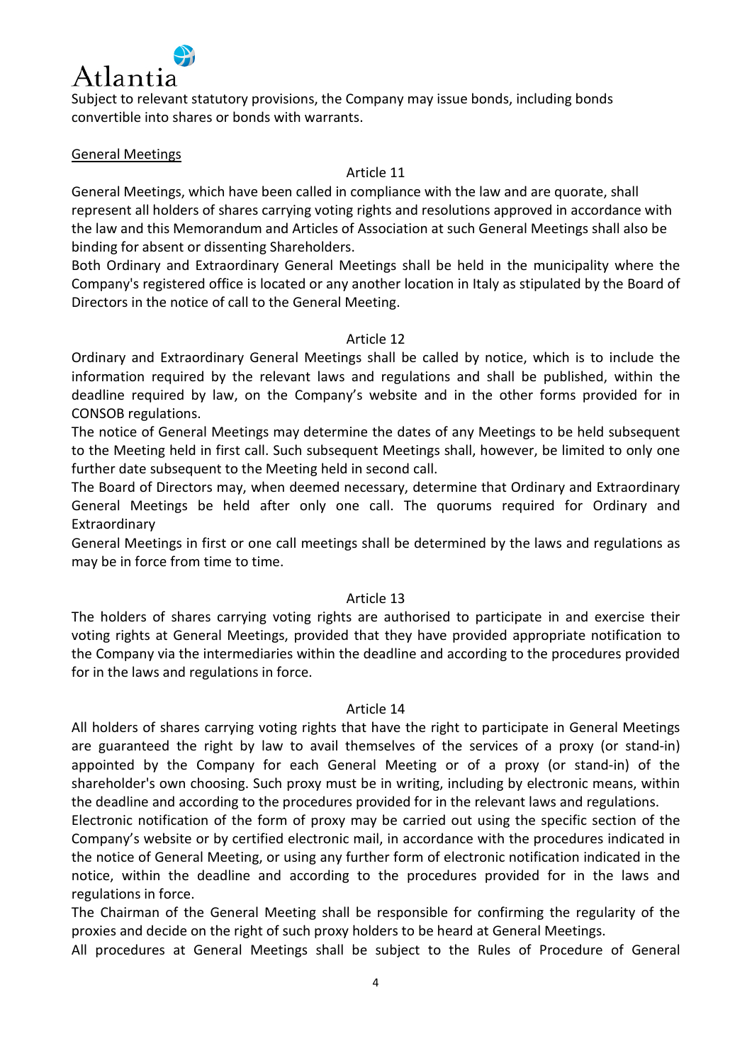

Subject to relevant statutory provisions, the Company may issue bonds, including bonds convertible into shares or bonds with warrants.

## General Meetings

## Article 11

General Meetings, which have been called in compliance with the law and are quorate, shall represent all holders of shares carrying voting rights and resolutions approved in accordance with the law and this Memorandum and Articles of Association at such General Meetings shall also be binding for absent or dissenting Shareholders.

Both Ordinary and Extraordinary General Meetings shall be held in the municipality where the Company's registered office is located or any another location in Italy as stipulated by the Board of Directors in the notice of call to the General Meeting.

## Article 12

Ordinary and Extraordinary General Meetings shall be called by notice, which is to include the information required by the relevant laws and regulations and shall be published, within the deadline required by law, on the Company's website and in the other forms provided for in CONSOB regulations.

The notice of General Meetings may determine the dates of any Meetings to be held subsequent to the Meeting held in first call. Such subsequent Meetings shall, however, be limited to only one further date subsequent to the Meeting held in second call.

The Board of Directors may, when deemed necessary, determine that Ordinary and Extraordinary General Meetings be held after only one call. The quorums required for Ordinary and Extraordinary

General Meetings in first or one call meetings shall be determined by the laws and regulations as may be in force from time to time.

## Article 13

The holders of shares carrying voting rights are authorised to participate in and exercise their voting rights at General Meetings, provided that they have provided appropriate notification to the Company via the intermediaries within the deadline and according to the procedures provided for in the laws and regulations in force.

## Article 14

All holders of shares carrying voting rights that have the right to participate in General Meetings are guaranteed the right by law to avail themselves of the services of a proxy (or stand-in) appointed by the Company for each General Meeting or of a proxy (or stand-in) of the shareholder's own choosing. Such proxy must be in writing, including by electronic means, within the deadline and according to the procedures provided for in the relevant laws and regulations.

Electronic notification of the form of proxy may be carried out using the specific section of the Company's website or by certified electronic mail, in accordance with the procedures indicated in the notice of General Meeting, or using any further form of electronic notification indicated in the notice, within the deadline and according to the procedures provided for in the laws and regulations in force.

The Chairman of the General Meeting shall be responsible for confirming the regularity of the proxies and decide on the right of such proxy holders to be heard at General Meetings.

All procedures at General Meetings shall be subject to the Rules of Procedure of General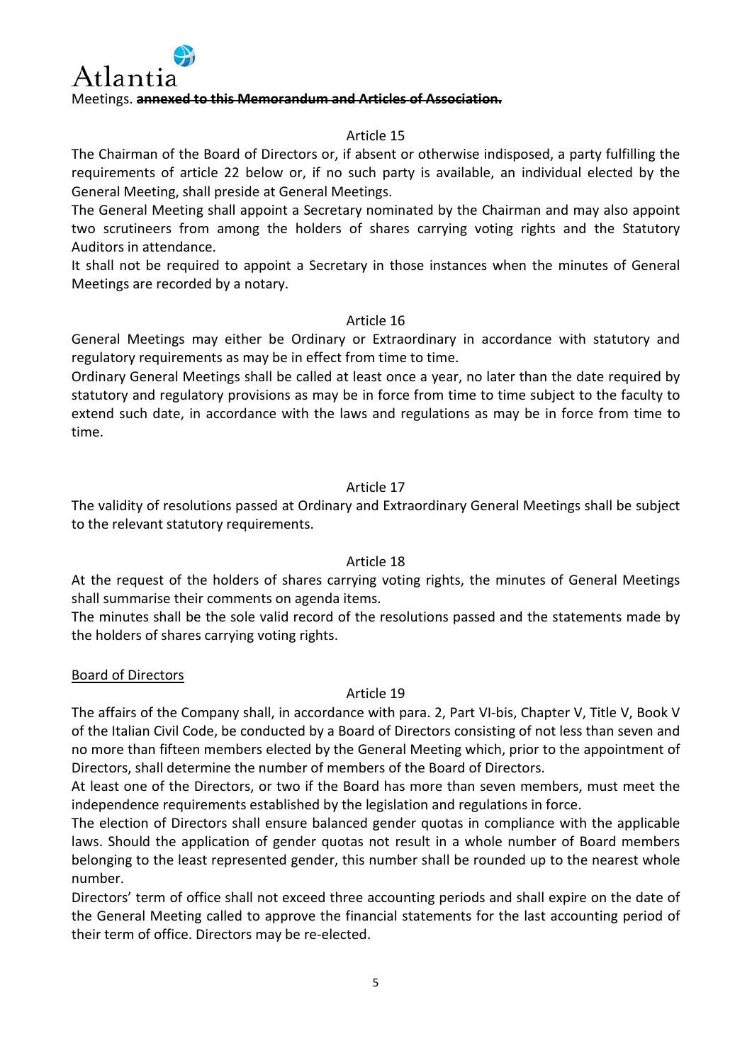

## Article 15

The Chairman of the Board of Directors or, if absent or otherwise indisposed, a party fulfilling the requirements of article 22 below or, if no such party is available, an individual elected by the General Meeting, shall preside at General Meetings.

The General Meeting shall appoint a Secretary nominated by the Chairman and may also appoint two scrutineers from among the holders of shares carrying voting rights and the Statutory Auditors in attendance.

It shall not be required to appoint a Secretary in those instances when the minutes of General Meetings are recorded by a notary.

## Article 16

General Meetings may either be Ordinary or Extraordinary in accordance with statutory and regulatory requirements as may be in effect from time to time.

Ordinary General Meetings shall be called at least once a year, no later than the date required by statutory and regulatory provisions as may be in force from time to time subject to the faculty to extend such date, in accordance with the laws and regulations as may be in force from time to time.

## Article 17

The validity of resolutions passed at Ordinary and Extraordinary General Meetings shall be subject to the relevant statutory requirements.

## Article 18

At the request of the holders of shares carrying voting rights, the minutes of General Meetings shall summarise their comments on agenda items.

The minutes shall be the sole valid record of the resolutions passed and the statements made by the holders of shares carrying voting rights.

## Board of Directors

## Article 19

The affairs of the Company shall, in accordance with para. 2, Part VI-bis, Chapter V, Title V, Book V of the Italian Civil Code, be conducted by a Board of Directors consisting of not less than seven and no more than fifteen members elected by the General Meeting which, prior to the appointment of Directors, shall determine the number of members of the Board of Directors.

At least one of the Directors, or two if the Board has more than seven members, must meet the independence requirements established by the legislation and regulations in force.

The election of Directors shall ensure balanced gender quotas in compliance with the applicable laws. Should the application of gender quotas not result in a whole number of Board members belonging to the least represented gender, this number shall be rounded up to the nearest whole number.

Directors' term of office shall not exceed three accounting periods and shall expire on the date of the General Meeting called to approve the financial statements for the last accounting period of their term of office. Directors may be re-elected.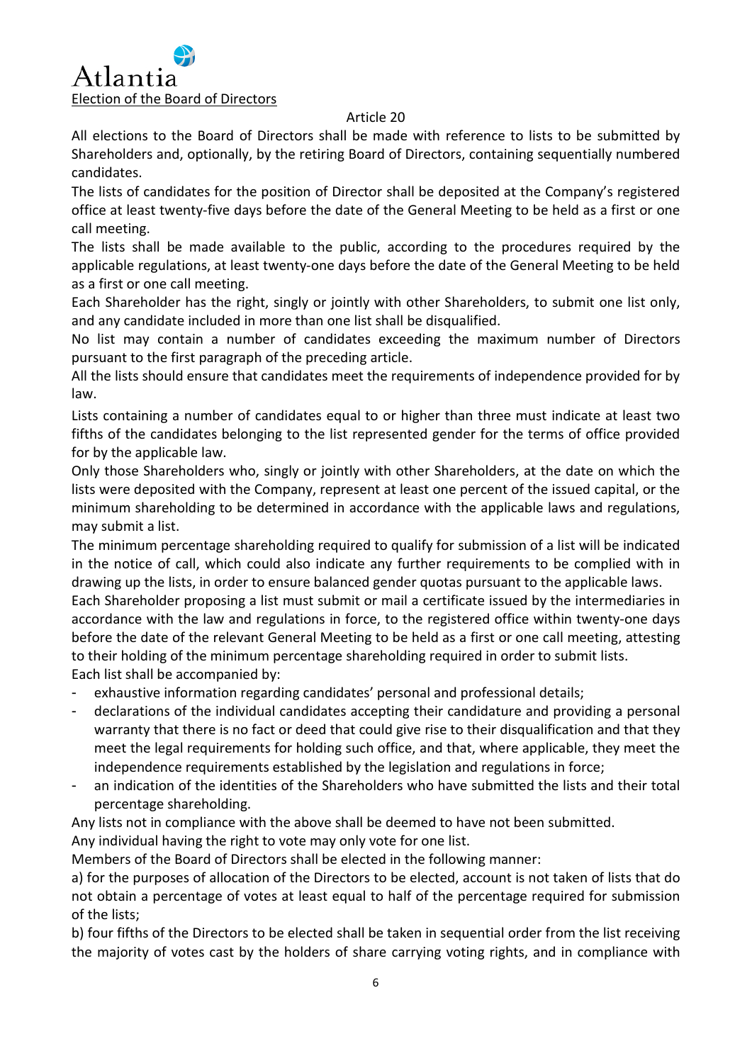## Article 20

All elections to the Board of Directors shall be made with reference to lists to be submitted by Shareholders and, optionally, by the retiring Board of Directors, containing sequentially numbered candidates.

The lists of candidates for the position of Director shall be deposited at the Company's registered office at least twenty-five days before the date of the General Meeting to be held as a first or one call meeting.

The lists shall be made available to the public, according to the procedures required by the applicable regulations, at least twenty-one days before the date of the General Meeting to be held as a first or one call meeting.

Each Shareholder has the right, singly or jointly with other Shareholders, to submit one list only, and any candidate included in more than one list shall be disqualified.

No list may contain a number of candidates exceeding the maximum number of Directors pursuant to the first paragraph of the preceding article.

All the lists should ensure that candidates meet the requirements of independence provided for by law.

Lists containing a number of candidates equal to or higher than three must indicate at least two fifths of the candidates belonging to the list represented gender for the terms of office provided for by the applicable law.

Only those Shareholders who, singly or jointly with other Shareholders, at the date on which the lists were deposited with the Company, represent at least one percent of the issued capital, or the minimum shareholding to be determined in accordance with the applicable laws and regulations, may submit a list.

The minimum percentage shareholding required to qualify for submission of a list will be indicated in the notice of call, which could also indicate any further requirements to be complied with in drawing up the lists, in order to ensure balanced gender quotas pursuant to the applicable laws.

Each Shareholder proposing a list must submit or mail a certificate issued by the intermediaries in accordance with the law and regulations in force, to the registered office within twenty-one days before the date of the relevant General Meeting to be held as a first or one call meeting, attesting to their holding of the minimum percentage shareholding required in order to submit lists. Each list shall be accompanied by:

exhaustive information regarding candidates' personal and professional details;

- declarations of the individual candidates accepting their candidature and providing a personal warranty that there is no fact or deed that could give rise to their disqualification and that they meet the legal requirements for holding such office, and that, where applicable, they meet the independence requirements established by the legislation and regulations in force;
- an indication of the identities of the Shareholders who have submitted the lists and their total percentage shareholding.

Any lists not in compliance with the above shall be deemed to have not been submitted.

Any individual having the right to vote may only vote for one list.

Members of the Board of Directors shall be elected in the following manner:

a) for the purposes of allocation of the Directors to be elected, account is not taken of lists that do not obtain a percentage of votes at least equal to half of the percentage required for submission of the lists;

b) four fifths of the Directors to be elected shall be taken in sequential order from the list receiving the majority of votes cast by the holders of share carrying voting rights, and in compliance with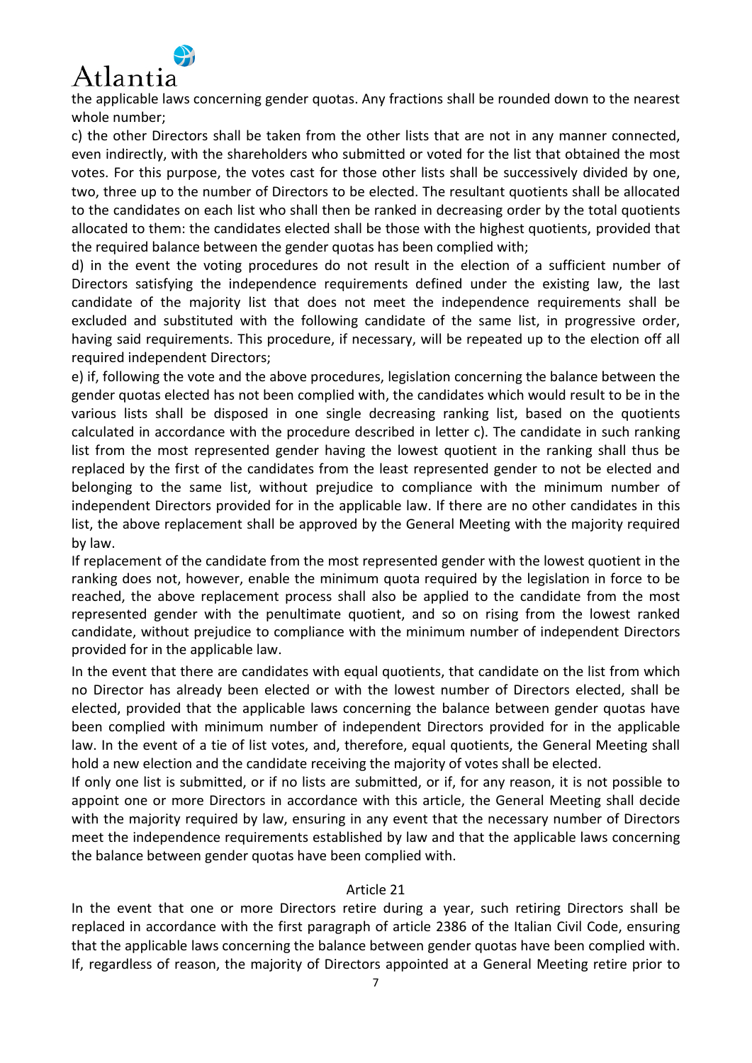

the applicable laws concerning gender quotas. Any fractions shall be rounded down to the nearest whole number;

c) the other Directors shall be taken from the other lists that are not in any manner connected, even indirectly, with the shareholders who submitted or voted for the list that obtained the most votes. For this purpose, the votes cast for those other lists shall be successively divided by one, two, three up to the number of Directors to be elected. The resultant quotients shall be allocated to the candidates on each list who shall then be ranked in decreasing order by the total quotients allocated to them: the candidates elected shall be those with the highest quotients, provided that the required balance between the gender quotas has been complied with;

d) in the event the voting procedures do not result in the election of a sufficient number of Directors satisfying the independence requirements defined under the existing law, the last candidate of the majority list that does not meet the independence requirements shall be excluded and substituted with the following candidate of the same list, in progressive order, having said requirements. This procedure, if necessary, will be repeated up to the election off all required independent Directors;

e) if, following the vote and the above procedures, legislation concerning the balance between the gender quotas elected has not been complied with, the candidates which would result to be in the various lists shall be disposed in one single decreasing ranking list, based on the quotients calculated in accordance with the procedure described in letter c). The candidate in such ranking list from the most represented gender having the lowest quotient in the ranking shall thus be replaced by the first of the candidates from the least represented gender to not be elected and belonging to the same list, without prejudice to compliance with the minimum number of independent Directors provided for in the applicable law. If there are no other candidates in this list, the above replacement shall be approved by the General Meeting with the majority required by law.

If replacement of the candidate from the most represented gender with the lowest quotient in the ranking does not, however, enable the minimum quota required by the legislation in force to be reached, the above replacement process shall also be applied to the candidate from the most represented gender with the penultimate quotient, and so on rising from the lowest ranked candidate, without prejudice to compliance with the minimum number of independent Directors provided for in the applicable law.

In the event that there are candidates with equal quotients, that candidate on the list from which no Director has already been elected or with the lowest number of Directors elected, shall be elected, provided that the applicable laws concerning the balance between gender quotas have been complied with minimum number of independent Directors provided for in the applicable law. In the event of a tie of list votes, and, therefore, equal quotients, the General Meeting shall hold a new election and the candidate receiving the majority of votes shall be elected.

If only one list is submitted, or if no lists are submitted, or if, for any reason, it is not possible to appoint one or more Directors in accordance with this article, the General Meeting shall decide with the majority required by law, ensuring in any event that the necessary number of Directors meet the independence requirements established by law and that the applicable laws concerning the balance between gender quotas have been complied with.

## Article 21

In the event that one or more Directors retire during a year, such retiring Directors shall be replaced in accordance with the first paragraph of article 2386 of the Italian Civil Code, ensuring that the applicable laws concerning the balance between gender quotas have been complied with. If, regardless of reason, the majority of Directors appointed at a General Meeting retire prior to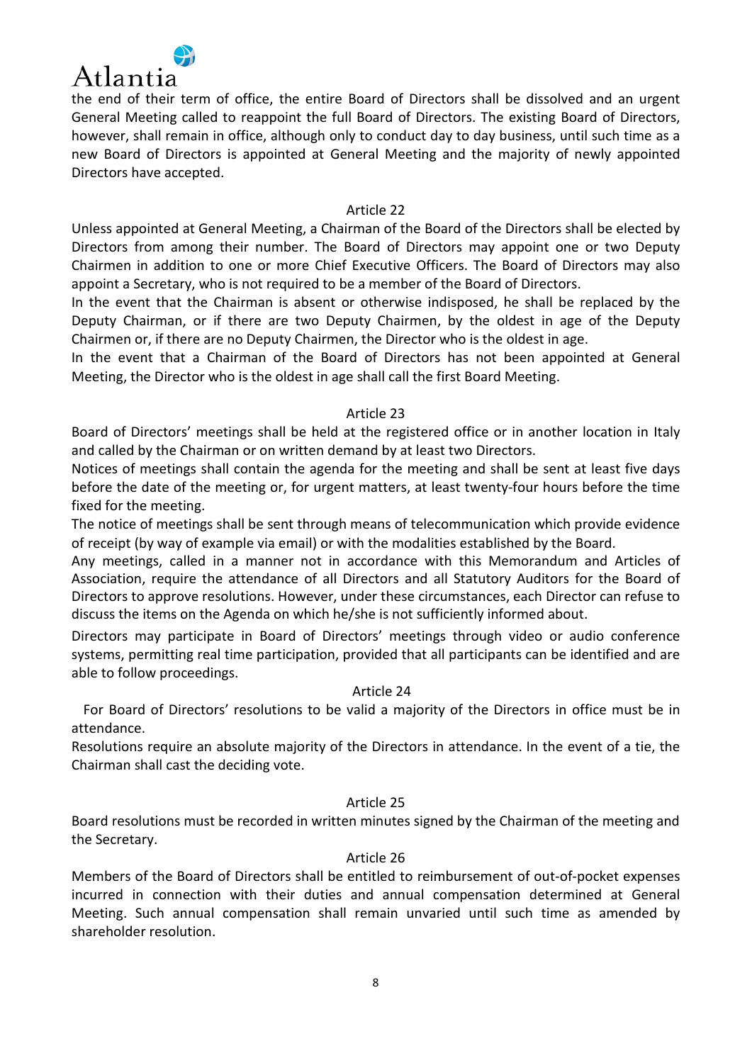

the end of their term of office, the entire Board of Directors shall be dissolved and an urgent General Meeting called to reappoint the full Board of Directors. The existing Board of Directors, however, shall remain in office, although only to conduct day to day business, until such time as a new Board of Directors is appointed at General Meeting and the majority of newly appointed Directors have accepted.

#### Article 22

Unless appointed at General Meeting, a Chairman of the Board of the Directors shall be elected by Directors from among their number. The Board of Directors may appoint one or two Deputy Chairmen in addition to one or more Chief Executive Officers. The Board of Directors may also appoint a Secretary, who is not required to be a member of the Board of Directors.

In the event that the Chairman is absent or otherwise indisposed, he shall be replaced by the Deputy Chairman, or if there are two Deputy Chairmen, by the oldest in age of the Deputy Chairmen or, if there are no Deputy Chairmen, the Director who is the oldest in age.

In the event that a Chairman of the Board of Directors has not been appointed at General Meeting, the Director who is the oldest in age shall call the first Board Meeting.

## Article 23

Board of Directors' meetings shall be held at the registered office or in another location in Italy and called by the Chairman or on written demand by at least two Directors.

Notices of meetings shall contain the agenda for the meeting and shall be sent at least five days before the date of the meeting or, for urgent matters, at least twenty-four hours before the time fixed for the meeting.

The notice of meetings shall be sent through means of telecommunication which provide evidence of receipt (by way of example via email) or with the modalities established by the Board.

Any meetings, called in a manner not in accordance with this Memorandum and Articles of Association, require the attendance of all Directors and all Statutory Auditors for the Board of Directors to approve resolutions. However, under these circumstances, each Director can refuse to discuss the items on the Agenda on which he/she is not sufficiently informed about.

Directors may participate in Board of Directors' meetings through video or audio conference systems, permitting real time participation, provided that all participants can be identified and are able to follow proceedings.

## Article 24

For Board of Directors' resolutions to be valid a majority of the Directors in office must be in attendance.

Resolutions require an absolute majority of the Directors in attendance. In the event of a tie, the Chairman shall cast the deciding vote.

## Article 25

Board resolutions must be recorded in written minutes signed by the Chairman of the meeting and the Secretary.

#### Article 26

Members of the Board of Directors shall be entitled to reimbursement of out-of-pocket expenses incurred in connection with their duties and annual compensation determined at General Meeting. Such annual compensation shall remain unvaried until such time as amended by shareholder resolution.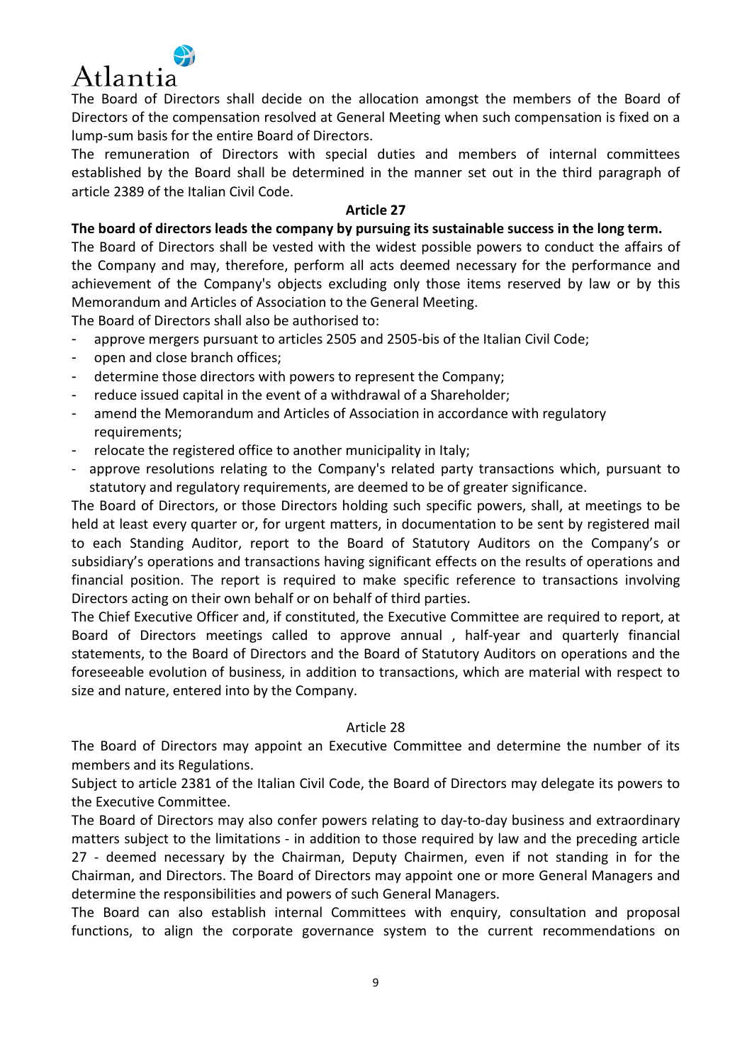

The Board of Directors shall decide on the allocation amongst the members of the Board of Directors of the compensation resolved at General Meeting when such compensation is fixed on a lump-sum basis for the entire Board of Directors.

The remuneration of Directors with special duties and members of internal committees established by the Board shall be determined in the manner set out in the third paragraph of article 2389 of the Italian Civil Code.

#### **Article 27**

## **The board of directors leads the company by pursuing its sustainable success in the long term.**

The Board of Directors shall be vested with the widest possible powers to conduct the affairs of the Company and may, therefore, perform all acts deemed necessary for the performance and achievement of the Company's objects excluding only those items reserved by law or by this Memorandum and Articles of Association to the General Meeting.

The Board of Directors shall also be authorised to:

- approve mergers pursuant to articles 2505 and 2505-bis of the Italian Civil Code;
- open and close branch offices;
- determine those directors with powers to represent the Company;
- reduce issued capital in the event of a withdrawal of a Shareholder;
- amend the Memorandum and Articles of Association in accordance with regulatory requirements;
- relocate the registered office to another municipality in Italy;
- approve resolutions relating to the Company's related party transactions which, pursuant to statutory and regulatory requirements, are deemed to be of greater significance.

The Board of Directors, or those Directors holding such specific powers, shall, at meetings to be held at least every quarter or, for urgent matters, in documentation to be sent by registered mail to each Standing Auditor, report to the Board of Statutory Auditors on the Company's or subsidiary's operations and transactions having significant effects on the results of operations and financial position. The report is required to make specific reference to transactions involving Directors acting on their own behalf or on behalf of third parties.

The Chief Executive Officer and, if constituted, the Executive Committee are required to report, at Board of Directors meetings called to approve annual , half-year and quarterly financial statements, to the Board of Directors and the Board of Statutory Auditors on operations and the foreseeable evolution of business, in addition to transactions, which are material with respect to size and nature, entered into by the Company.

## Article 28

The Board of Directors may appoint an Executive Committee and determine the number of its members and its Regulations.

Subject to article 2381 of the Italian Civil Code, the Board of Directors may delegate its powers to the Executive Committee.

The Board of Directors may also confer powers relating to day-to-day business and extraordinary matters subject to the limitations - in addition to those required by law and the preceding article 27 - deemed necessary by the Chairman, Deputy Chairmen, even if not standing in for the Chairman, and Directors. The Board of Directors may appoint one or more General Managers and determine the responsibilities and powers of such General Managers.

The Board can also establish internal Committees with enquiry, consultation and proposal functions, to align the corporate governance system to the current recommendations on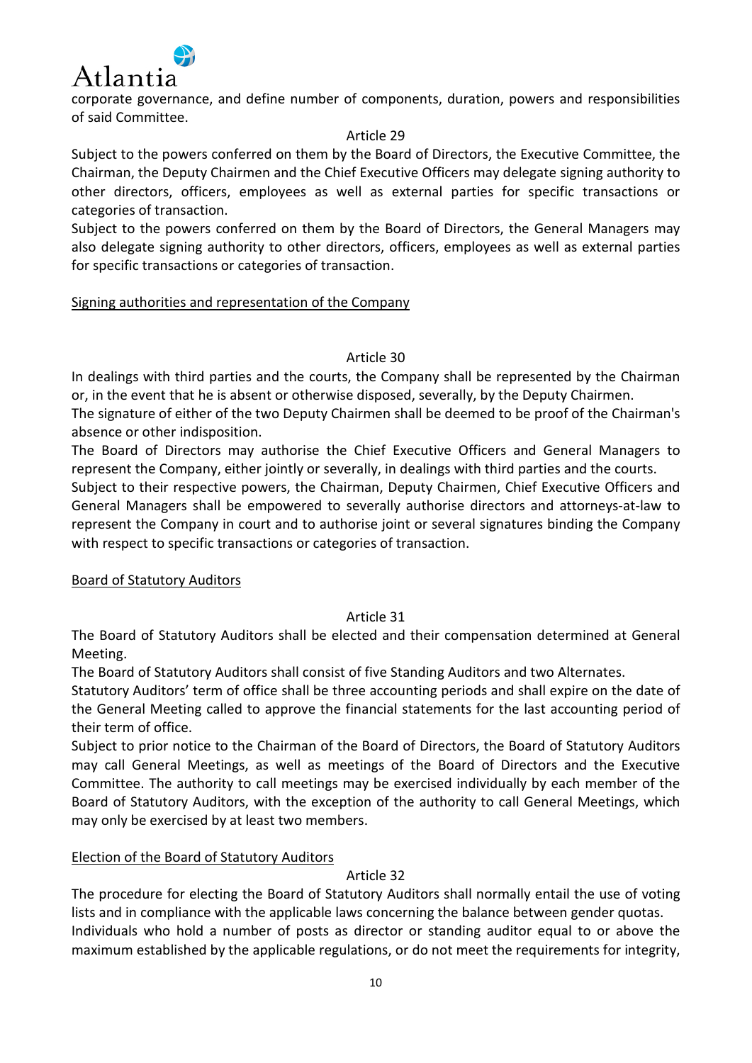

corporate governance, and define number of components, duration, powers and responsibilities of said Committee.

## Article 29

Subject to the powers conferred on them by the Board of Directors, the Executive Committee, the Chairman, the Deputy Chairmen and the Chief Executive Officers may delegate signing authority to other directors, officers, employees as well as external parties for specific transactions or categories of transaction.

Subject to the powers conferred on them by the Board of Directors, the General Managers may also delegate signing authority to other directors, officers, employees as well as external parties for specific transactions or categories of transaction.

# Signing authorities and representation of the Company

# Article 30

In dealings with third parties and the courts, the Company shall be represented by the Chairman or, in the event that he is absent or otherwise disposed, severally, by the Deputy Chairmen.

The signature of either of the two Deputy Chairmen shall be deemed to be proof of the Chairman's absence or other indisposition.

The Board of Directors may authorise the Chief Executive Officers and General Managers to represent the Company, either jointly or severally, in dealings with third parties and the courts.

Subject to their respective powers, the Chairman, Deputy Chairmen, Chief Executive Officers and General Managers shall be empowered to severally authorise directors and attorneys-at-law to represent the Company in court and to authorise joint or several signatures binding the Company with respect to specific transactions or categories of transaction.

# Board of Statutory Auditors

# Article 31

The Board of Statutory Auditors shall be elected and their compensation determined at General Meeting.

The Board of Statutory Auditors shall consist of five Standing Auditors and two Alternates.

Statutory Auditors' term of office shall be three accounting periods and shall expire on the date of the General Meeting called to approve the financial statements for the last accounting period of their term of office.

Subject to prior notice to the Chairman of the Board of Directors, the Board of Statutory Auditors may call General Meetings, as well as meetings of the Board of Directors and the Executive Committee. The authority to call meetings may be exercised individually by each member of the Board of Statutory Auditors, with the exception of the authority to call General Meetings, which may only be exercised by at least two members.

# Election of the Board of Statutory Auditors

# Article 32

The procedure for electing the Board of Statutory Auditors shall normally entail the use of voting lists and in compliance with the applicable laws concerning the balance between gender quotas. Individuals who hold a number of posts as director or standing auditor equal to or above the maximum established by the applicable regulations, or do not meet the requirements for integrity,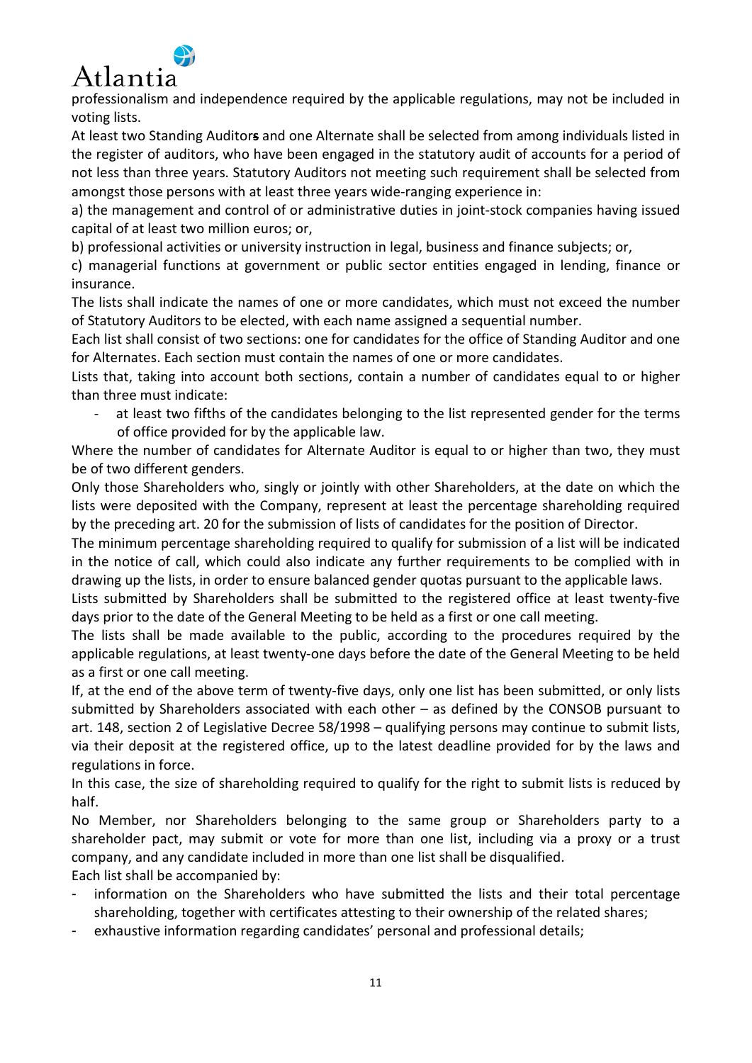

professionalism and independence required by the applicable regulations, may not be included in voting lists.

At least two Standing Auditor**s** and one Alternate shall be selected from among individuals listed in the register of auditors, who have been engaged in the statutory audit of accounts for a period of not less than three years. Statutory Auditors not meeting such requirement shall be selected from amongst those persons with at least three years wide-ranging experience in:

a) the management and control of or administrative duties in joint-stock companies having issued capital of at least two million euros; or,

b) professional activities or university instruction in legal, business and finance subjects; or,

c) managerial functions at government or public sector entities engaged in lending, finance or insurance.

The lists shall indicate the names of one or more candidates, which must not exceed the number of Statutory Auditors to be elected, with each name assigned a sequential number.

Each list shall consist of two sections: one for candidates for the office of Standing Auditor and one for Alternates. Each section must contain the names of one or more candidates.

Lists that, taking into account both sections, contain a number of candidates equal to or higher than three must indicate:

at least two fifths of the candidates belonging to the list represented gender for the terms of office provided for by the applicable law.

Where the number of candidates for Alternate Auditor is equal to or higher than two, they must be of two different genders.

Only those Shareholders who, singly or jointly with other Shareholders, at the date on which the lists were deposited with the Company, represent at least the percentage shareholding required by the preceding art. 20 for the submission of lists of candidates for the position of Director.

The minimum percentage shareholding required to qualify for submission of a list will be indicated in the notice of call, which could also indicate any further requirements to be complied with in drawing up the lists, in order to ensure balanced gender quotas pursuant to the applicable laws.

Lists submitted by Shareholders shall be submitted to the registered office at least twenty-five days prior to the date of the General Meeting to be held as a first or one call meeting.

The lists shall be made available to the public, according to the procedures required by the applicable regulations, at least twenty-one days before the date of the General Meeting to be held as a first or one call meeting.

If, at the end of the above term of twenty-five days, only one list has been submitted, or only lists submitted by Shareholders associated with each other – as defined by the CONSOB pursuant to art. 148, section 2 of Legislative Decree 58/1998 – qualifying persons may continue to submit lists, via their deposit at the registered office, up to the latest deadline provided for by the laws and regulations in force.

In this case, the size of shareholding required to qualify for the right to submit lists is reduced by half.

No Member, nor Shareholders belonging to the same group or Shareholders party to a shareholder pact, may submit or vote for more than one list, including via a proxy or a trust company, and any candidate included in more than one list shall be disqualified.

Each list shall be accompanied by:

- information on the Shareholders who have submitted the lists and their total percentage shareholding, together with certificates attesting to their ownership of the related shares;
- exhaustive information regarding candidates' personal and professional details;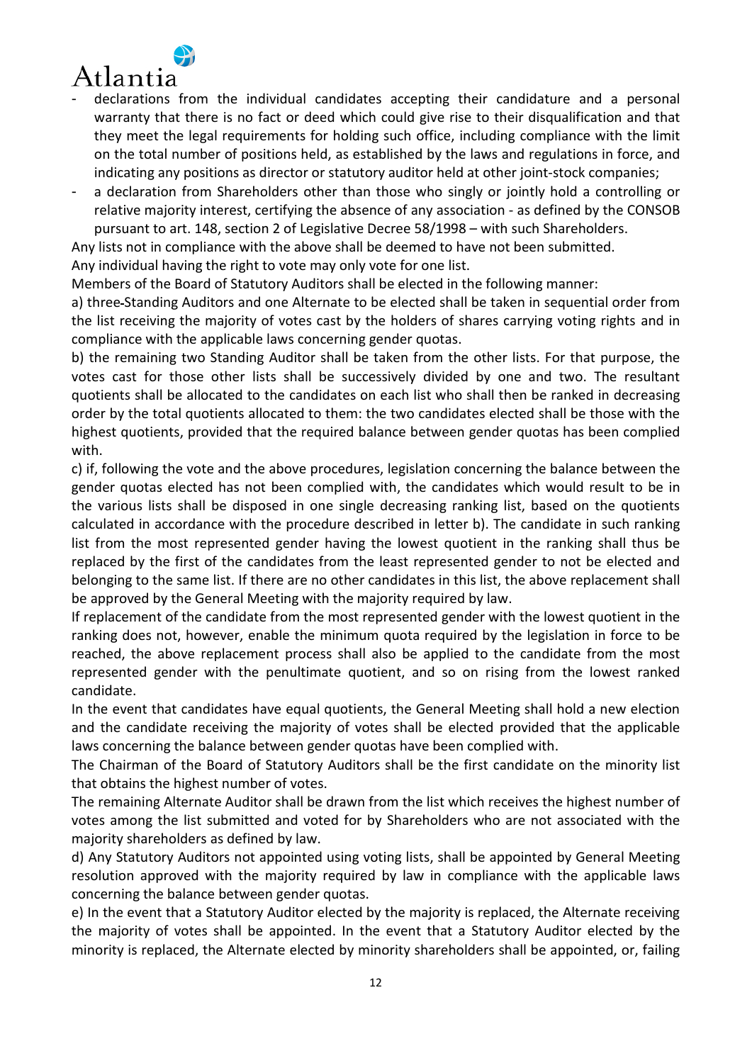

- declarations from the individual candidates accepting their candidature and a personal warranty that there is no fact or deed which could give rise to their disqualification and that they meet the legal requirements for holding such office, including compliance with the limit on the total number of positions held, as established by the laws and regulations in force, and indicating any positions as director or statutory auditor held at other joint-stock companies;
- a declaration from Shareholders other than those who singly or jointly hold a controlling or relative majority interest, certifying the absence of any association - as defined by the CONSOB pursuant to art. 148, section 2 of Legislative Decree 58/1998 – with such Shareholders.

Any lists not in compliance with the above shall be deemed to have not been submitted.

Any individual having the right to vote may only vote for one list.

Members of the Board of Statutory Auditors shall be elected in the following manner:

a) three Standing Auditors and one Alternate to be elected shall be taken in sequential order from the list receiving the majority of votes cast by the holders of shares carrying voting rights and in compliance with the applicable laws concerning gender quotas.

b) the remaining two Standing Auditor shall be taken from the other lists. For that purpose, the votes cast for those other lists shall be successively divided by one and two. The resultant quotients shall be allocated to the candidates on each list who shall then be ranked in decreasing order by the total quotients allocated to them: the two candidates elected shall be those with the highest quotients, provided that the required balance between gender quotas has been complied with.

c) if, following the vote and the above procedures, legislation concerning the balance between the gender quotas elected has not been complied with, the candidates which would result to be in the various lists shall be disposed in one single decreasing ranking list, based on the quotients calculated in accordance with the procedure described in letter b). The candidate in such ranking list from the most represented gender having the lowest quotient in the ranking shall thus be replaced by the first of the candidates from the least represented gender to not be elected and belonging to the same list. If there are no other candidates in this list, the above replacement shall be approved by the General Meeting with the majority required by law.

If replacement of the candidate from the most represented gender with the lowest quotient in the ranking does not, however, enable the minimum quota required by the legislation in force to be reached, the above replacement process shall also be applied to the candidate from the most represented gender with the penultimate quotient, and so on rising from the lowest ranked candidate.

In the event that candidates have equal quotients, the General Meeting shall hold a new election and the candidate receiving the majority of votes shall be elected provided that the applicable laws concerning the balance between gender quotas have been complied with.

The Chairman of the Board of Statutory Auditors shall be the first candidate on the minority list that obtains the highest number of votes.

The remaining Alternate Auditor shall be drawn from the list which receives the highest number of votes among the list submitted and voted for by Shareholders who are not associated with the majority shareholders as defined by law.

d) Any Statutory Auditors not appointed using voting lists, shall be appointed by General Meeting resolution approved with the majority required by law in compliance with the applicable laws concerning the balance between gender quotas.

e) In the event that a Statutory Auditor elected by the majority is replaced, the Alternate receiving the majority of votes shall be appointed. In the event that a Statutory Auditor elected by the minority is replaced, the Alternate elected by minority shareholders shall be appointed, or, failing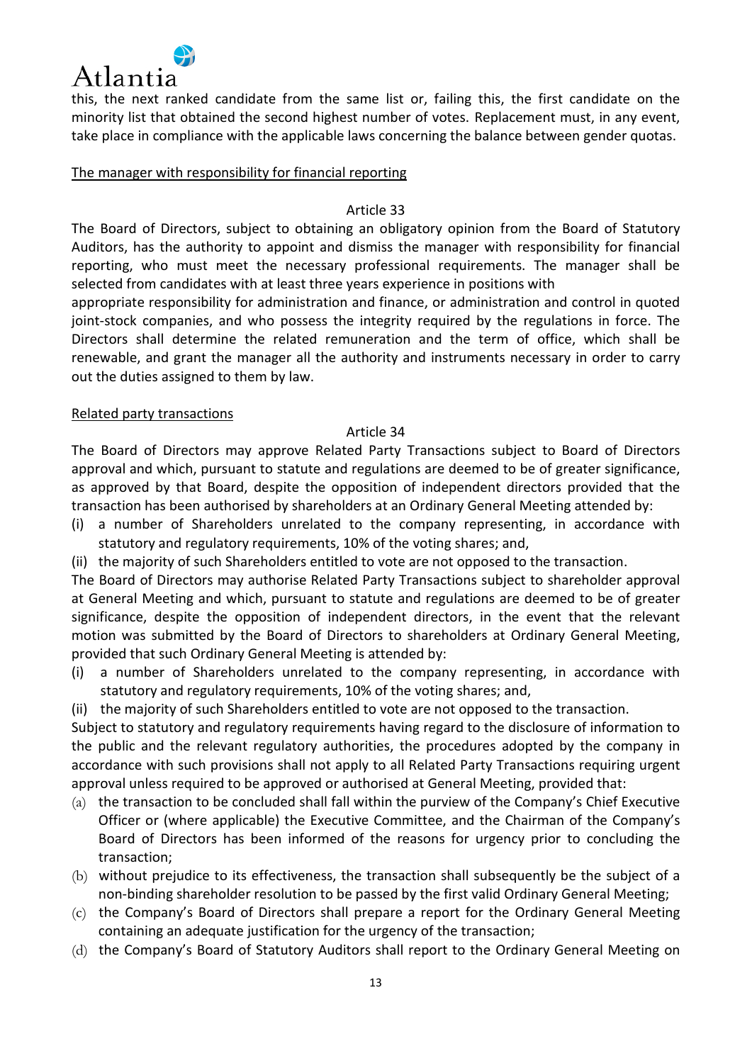

this, the next ranked candidate from the same list or, failing this, the first candidate on the minority list that obtained the second highest number of votes. Replacement must, in any event, take place in compliance with the applicable laws concerning the balance between gender quotas.

#### The manager with responsibility for financial reporting

#### Article 33

The Board of Directors, subject to obtaining an obligatory opinion from the Board of Statutory Auditors, has the authority to appoint and dismiss the manager with responsibility for financial reporting, who must meet the necessary professional requirements. The manager shall be selected from candidates with at least three years experience in positions with

appropriate responsibility for administration and finance, or administration and control in quoted joint-stock companies, and who possess the integrity required by the regulations in force. The Directors shall determine the related remuneration and the term of office, which shall be renewable, and grant the manager all the authority and instruments necessary in order to carry out the duties assigned to them by law.

#### Related party transactions

#### Article 34

The Board of Directors may approve Related Party Transactions subject to Board of Directors approval and which, pursuant to statute and regulations are deemed to be of greater significance, as approved by that Board, despite the opposition of independent directors provided that the transaction has been authorised by shareholders at an Ordinary General Meeting attended by:

- (i) a number of Shareholders unrelated to the company representing, in accordance with statutory and regulatory requirements, 10% of the voting shares; and,
- (ii) the majority of such Shareholders entitled to vote are not opposed to the transaction.

The Board of Directors may authorise Related Party Transactions subject to shareholder approval at General Meeting and which, pursuant to statute and regulations are deemed to be of greater significance, despite the opposition of independent directors, in the event that the relevant motion was submitted by the Board of Directors to shareholders at Ordinary General Meeting, provided that such Ordinary General Meeting is attended by:

- (i) a number of Shareholders unrelated to the company representing, in accordance with statutory and regulatory requirements, 10% of the voting shares; and,
- (ii) the majority of such Shareholders entitled to vote are not opposed to the transaction.

Subject to statutory and regulatory requirements having regard to the disclosure of information to the public and the relevant regulatory authorities, the procedures adopted by the company in accordance with such provisions shall not apply to all Related Party Transactions requiring urgent approval unless required to be approved or authorised at General Meeting, provided that:

- (a) the transaction to be concluded shall fall within the purview of the Company's Chief Executive Officer or (where applicable) the Executive Committee, and the Chairman of the Company's Board of Directors has been informed of the reasons for urgency prior to concluding the transaction;
- (b) without prejudice to its effectiveness, the transaction shall subsequently be the subject of a non-binding shareholder resolution to be passed by the first valid Ordinary General Meeting;
- (c) the Company's Board of Directors shall prepare a report for the Ordinary General Meeting containing an adequate justification for the urgency of the transaction;
- (d) the Company's Board of Statutory Auditors shall report to the Ordinary General Meeting on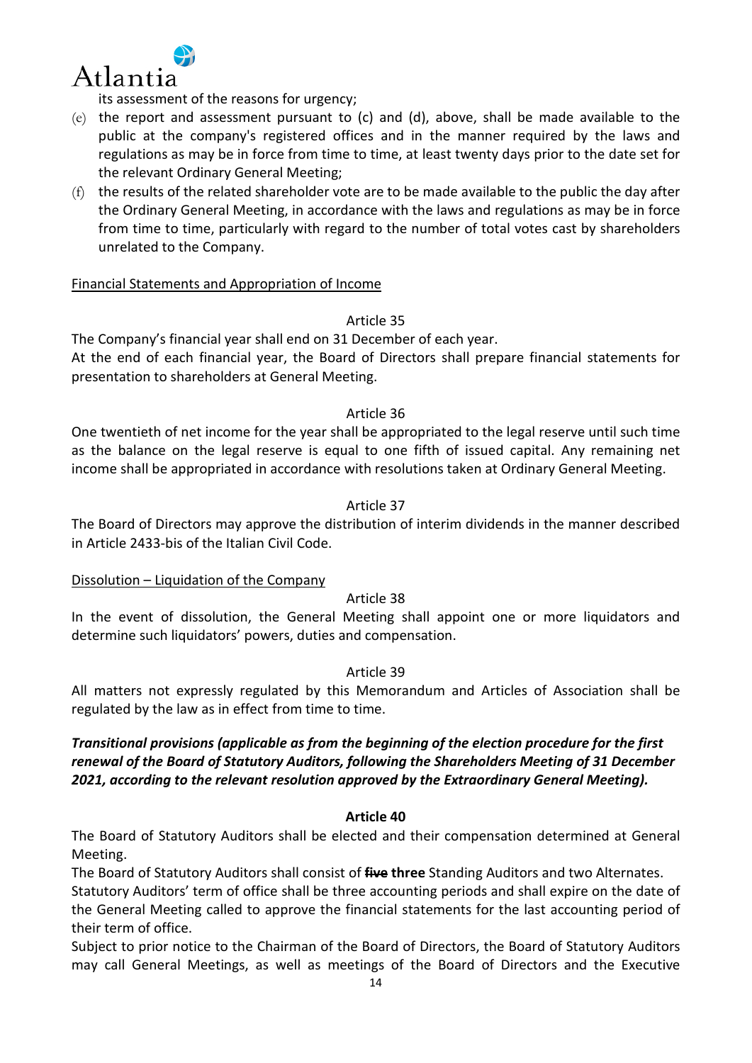

its assessment of the reasons for urgency;

- (e) the report and assessment pursuant to (c) and (d), above, shall be made available to the public at the company's registered offices and in the manner required by the laws and regulations as may be in force from time to time, at least twenty days prior to the date set for the relevant Ordinary General Meeting;
- $(f)$  the results of the related shareholder vote are to be made available to the public the day after the Ordinary General Meeting, in accordance with the laws and regulations as may be in force from time to time, particularly with regard to the number of total votes cast by shareholders unrelated to the Company.

## Financial Statements and Appropriation of Income

## Article 35

The Company's financial year shall end on 31 December of each year.

At the end of each financial year, the Board of Directors shall prepare financial statements for presentation to shareholders at General Meeting.

## Article 36

One twentieth of net income for the year shall be appropriated to the legal reserve until such time as the balance on the legal reserve is equal to one fifth of issued capital. Any remaining net income shall be appropriated in accordance with resolutions taken at Ordinary General Meeting.

# Article 37

The Board of Directors may approve the distribution of interim dividends in the manner described in Article 2433-bis of the Italian Civil Code.

## Dissolution – Liquidation of the Company

## Article 38

In the event of dissolution, the General Meeting shall appoint one or more liquidators and determine such liquidators' powers, duties and compensation.

## Article 39

All matters not expressly regulated by this Memorandum and Articles of Association shall be regulated by the law as in effect from time to time.

# *Transitional provisions (applicable as from the beginning of the election procedure for the first renewal of the Board of Statutory Auditors, following the Shareholders Meeting of 31 December 2021, according to the relevant resolution approved by the Extraordinary General Meeting).*

## **Article 40**

The Board of Statutory Auditors shall be elected and their compensation determined at General Meeting.

The Board of Statutory Auditors shall consist of **five three** Standing Auditors and two Alternates.

Statutory Auditors' term of office shall be three accounting periods and shall expire on the date of the General Meeting called to approve the financial statements for the last accounting period of their term of office.

Subject to prior notice to the Chairman of the Board of Directors, the Board of Statutory Auditors may call General Meetings, as well as meetings of the Board of Directors and the Executive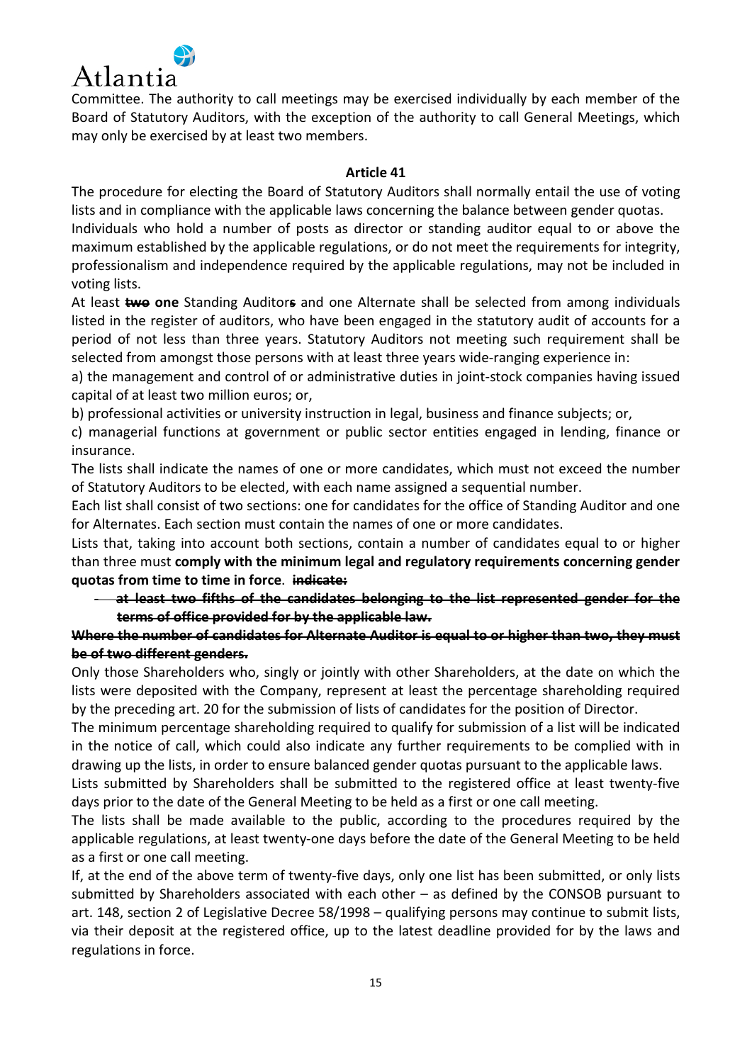

Committee. The authority to call meetings may be exercised individually by each member of the Board of Statutory Auditors, with the exception of the authority to call General Meetings, which may only be exercised by at least two members.

#### **Article 41**

The procedure for electing the Board of Statutory Auditors shall normally entail the use of voting lists and in compliance with the applicable laws concerning the balance between gender quotas.

Individuals who hold a number of posts as director or standing auditor equal to or above the maximum established by the applicable regulations, or do not meet the requirements for integrity, professionalism and independence required by the applicable regulations, may not be included in voting lists.

At least **two one** Standing Auditor**s** and one Alternate shall be selected from among individuals listed in the register of auditors, who have been engaged in the statutory audit of accounts for a period of not less than three years. Statutory Auditors not meeting such requirement shall be selected from amongst those persons with at least three years wide-ranging experience in:

a) the management and control of or administrative duties in joint-stock companies having issued capital of at least two million euros; or,

b) professional activities or university instruction in legal, business and finance subjects; or,

c) managerial functions at government or public sector entities engaged in lending, finance or insurance.

The lists shall indicate the names of one or more candidates, which must not exceed the number of Statutory Auditors to be elected, with each name assigned a sequential number.

Each list shall consist of two sections: one for candidates for the office of Standing Auditor and one for Alternates. Each section must contain the names of one or more candidates.

Lists that, taking into account both sections, contain a number of candidates equal to or higher than three must **comply with the minimum legal and regulatory requirements concerning gender quotas from time to time in force**. **indicate:**

- **at least two fifths of the candidates belonging to the list represented gender for the terms of office provided for by the applicable law.** 

# **Where the number of candidates for Alternate Auditor is equal to or higher than two, they must be of two different genders.**

Only those Shareholders who, singly or jointly with other Shareholders, at the date on which the lists were deposited with the Company, represent at least the percentage shareholding required by the preceding art. 20 for the submission of lists of candidates for the position of Director.

The minimum percentage shareholding required to qualify for submission of a list will be indicated in the notice of call, which could also indicate any further requirements to be complied with in drawing up the lists, in order to ensure balanced gender quotas pursuant to the applicable laws.

Lists submitted by Shareholders shall be submitted to the registered office at least twenty-five days prior to the date of the General Meeting to be held as a first or one call meeting.

The lists shall be made available to the public, according to the procedures required by the applicable regulations, at least twenty-one days before the date of the General Meeting to be held as a first or one call meeting.

If, at the end of the above term of twenty-five days, only one list has been submitted, or only lists submitted by Shareholders associated with each other – as defined by the CONSOB pursuant to art. 148, section 2 of Legislative Decree 58/1998 – qualifying persons may continue to submit lists, via their deposit at the registered office, up to the latest deadline provided for by the laws and regulations in force.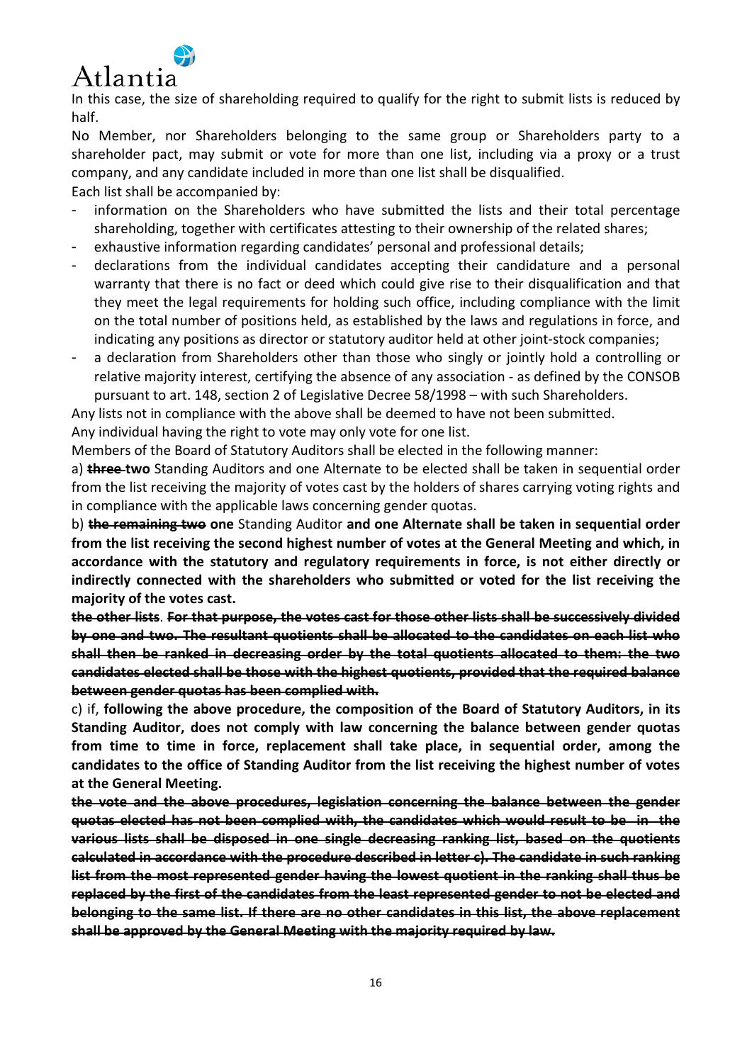

In this case, the size of shareholding required to qualify for the right to submit lists is reduced by half.

No Member, nor Shareholders belonging to the same group or Shareholders party to a shareholder pact, may submit or vote for more than one list, including via a proxy or a trust company, and any candidate included in more than one list shall be disqualified. Each list shall be accompanied by:

information on the Shareholders who have submitted the lists and their total percentage shareholding, together with certificates attesting to their ownership of the related shares;

- exhaustive information regarding candidates' personal and professional details;
- declarations from the individual candidates accepting their candidature and a personal warranty that there is no fact or deed which could give rise to their disqualification and that they meet the legal requirements for holding such office, including compliance with the limit on the total number of positions held, as established by the laws and regulations in force, and indicating any positions as director or statutory auditor held at other joint-stock companies;
- a declaration from Shareholders other than those who singly or jointly hold a controlling or relative majority interest, certifying the absence of any association - as defined by the CONSOB pursuant to art. 148, section 2 of Legislative Decree 58/1998 – with such Shareholders.

Any lists not in compliance with the above shall be deemed to have not been submitted.

Any individual having the right to vote may only vote for one list.

Members of the Board of Statutory Auditors shall be elected in the following manner:

a) **three two** Standing Auditors and one Alternate to be elected shall be taken in sequential order from the list receiving the majority of votes cast by the holders of shares carrying voting rights and in compliance with the applicable laws concerning gender quotas.

b) **the remaining two one** Standing Auditor **and one Alternate shall be taken in sequential order from the list receiving the second highest number of votes at the General Meeting and which, in accordance with the statutory and regulatory requirements in force, is not either directly or indirectly connected with the shareholders who submitted or voted for the list receiving the majority of the votes cast.** 

**the other lists**. **For that purpose, the votes cast for those other lists shall be successively divided by one and two. The resultant quotients shall be allocated to the candidates on each list who shall then be ranked in decreasing order by the total quotients allocated to them: the two candidates elected shall be those with the highest quotients, provided that the required balance between gender quotas has been complied with.** 

c) if, **following the above procedure, the composition of the Board of Statutory Auditors, in its Standing Auditor, does not comply with law concerning the balance between gender quotas from time to time in force, replacement shall take place, in sequential order, among the candidates to the office of Standing Auditor from the list receiving the highest number of votes at the General Meeting.** 

**the vote and the above procedures, legislation concerning the balance between the gender quotas elected has not been complied with, the candidates which would result to be in the various lists shall be disposed in one single decreasing ranking list, based on the quotients calculated in accordance with the procedure described in letter c). The candidate in such ranking list from the most represented gender having the lowest quotient in the ranking shall thus be replaced by the first of the candidates from the least represented gender to not be elected and belonging to the same list. If there are no other candidates in this list, the above replacement shall be approved by the General Meeting with the majority required by law.**